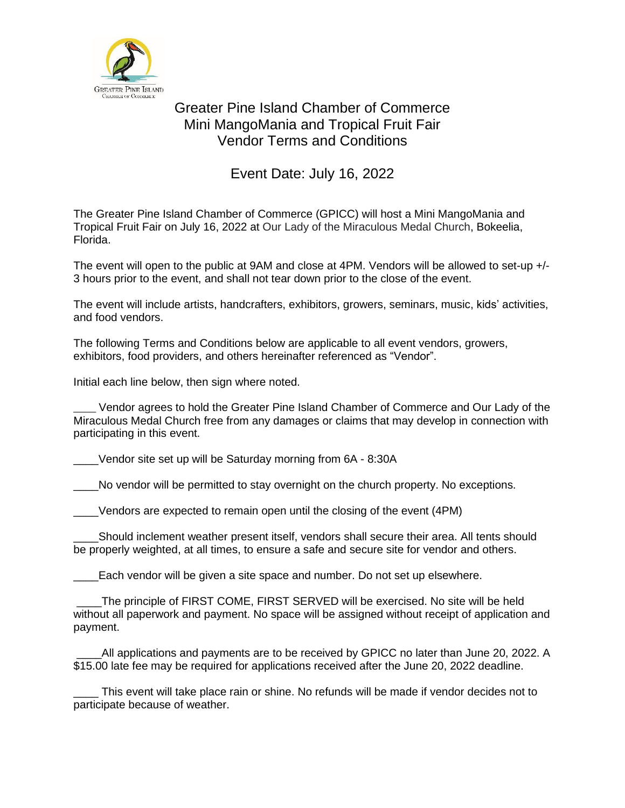

## Greater Pine Island Chamber of Commerce Mini MangoMania and Tropical Fruit Fair Vendor Terms and Conditions

## Event Date: July 16, 2022

The Greater Pine Island Chamber of Commerce (GPICC) will host a Mini MangoMania and Tropical Fruit Fair on July 16, 2022 at Our Lady of the Miraculous Medal Church, Bokeelia, Florida.

The event will open to the public at 9AM and close at 4PM. Vendors will be allowed to set-up +/-3 hours prior to the event, and shall not tear down prior to the close of the event.

The event will include artists, handcrafters, exhibitors, growers, seminars, music, kids' activities, and food vendors.

The following Terms and Conditions below are applicable to all event vendors, growers, exhibitors, food providers, and others hereinafter referenced as "Vendor".

Initial each line below, then sign where noted.

Vendor agrees to hold the Greater Pine Island Chamber of Commerce and Our Lady of the Miraculous Medal Church free from any damages or claims that may develop in connection with participating in this event.

\_\_\_\_Vendor site set up will be Saturday morning from 6A - 8:30A

No vendor will be permitted to stay overnight on the church property. No exceptions.

Vendors are expected to remain open until the closing of the event (4PM)

\_\_\_\_Should inclement weather present itself, vendors shall secure their area. All tents should be properly weighted, at all times, to ensure a safe and secure site for vendor and others.

Each vendor will be given a site space and number. Do not set up elsewhere.

The principle of FIRST COME, FIRST SERVED will be exercised. No site will be held without all paperwork and payment. No space will be assigned without receipt of application and payment.

All applications and payments are to be received by GPICC no later than June 20, 2022. A \$15.00 late fee may be required for applications received after the June 20, 2022 deadline.

This event will take place rain or shine. No refunds will be made if vendor decides not to participate because of weather.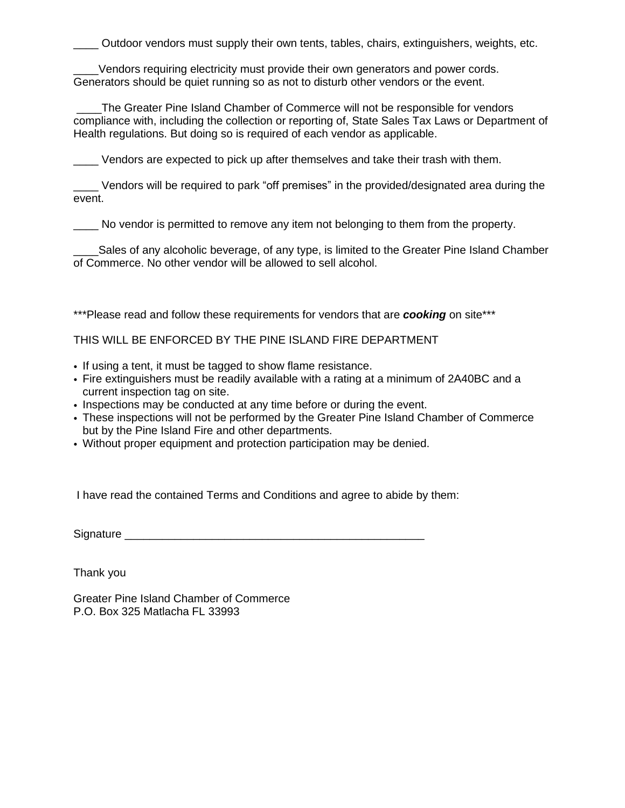\_\_\_\_ Outdoor vendors must supply their own tents, tables, chairs, extinguishers, weights, etc.

Vendors requiring electricity must provide their own generators and power cords. Generators should be quiet running so as not to disturb other vendors or the event.

\_\_\_\_The Greater Pine Island Chamber of Commerce will not be responsible for vendors compliance with, including the collection or reporting of, State Sales Tax Laws or Department of Health regulations. But doing so is required of each vendor as applicable.

\_\_\_\_ Vendors are expected to pick up after themselves and take their trash with them.

Vendors will be required to park "off premises" in the provided/designated area during the event.

\_\_\_\_ No vendor is permitted to remove any item not belonging to them from the property.

\_\_\_\_Sales of any alcoholic beverage, of any type, is limited to the Greater Pine Island Chamber of Commerce. No other vendor will be allowed to sell alcohol.

\*\*\*Please read and follow these requirements for vendors that are **cooking** on site\*\*\*

THIS WILL BE ENFORCED BY THE PINE ISLAND FIRE DEPARTMENT

- If using a tent, it must be tagged to show flame resistance.
- Fire extinguishers must be readily available with a rating at a minimum of 2A40BC and a current inspection tag on site.
- Inspections may be conducted at any time before or during the event.
- These inspections will not be performed by the Greater Pine Island Chamber of Commerce but by the Pine Island Fire and other departments.
- Without proper equipment and protection participation may be denied.

I have read the contained Terms and Conditions and agree to abide by them:

Signature \_\_\_\_\_\_\_\_\_\_\_\_\_\_\_\_\_\_\_\_\_\_\_\_\_\_\_\_\_\_\_\_\_\_\_\_\_\_\_\_\_\_\_\_\_\_\_\_

Thank you

Greater Pine Island Chamber of Commerce P.O. Box 325 Matlacha FL 33993